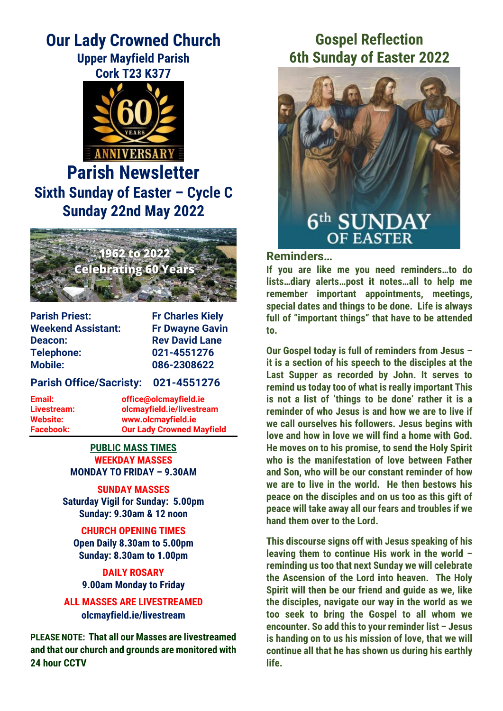### **Our Lady Crowned Church Upper Mayfield Parish**

**Cork T23 K377**



# **Parish Newsletter Sixth Sunday of Easter – Cycle C Sunday 22nd May 2022**



**Parish Priest:** Fr Charles Kiely **Weekend Assistant: Fr Dwayne Gavin Deacon: Rev David Lane Telephone: 021-4551276 Mobile: 086-2308622**

**Parish Office/Sacristy: 021-4551276**

**Email: office@olcmayfield.ie Livestream: olcmayfield.ie/livestream Website: www.olcmayfield.ie Facebook: Our Lady Crowned Mayfield**

#### **PUBLIC MASS TIMES WEEKDAY MASSES MONDAY TO FRIDAY – 9.30AM**

**SUNDAY MASSES Saturday Vigil for Sunday: 5.00pm Sunday: 9.30am & 12 noon**

**CHURCH OPENING TIMES Open Daily 8.30am to 5.00pm Sunday: 8.30am to 1.00pm**

**DAILY ROSARY 9.00am Monday to Friday**

**ALL MASSES ARE LIVESTREAMED olcmayfield.ie/livestream**

**PLEASE NOTE: That all our Masses are livestreamed and that our church and grounds are monitored with 24 hour CCTV** 

## **Gospel Reflection 6th Sunday of Easter 2022**



### **Reminders…**

**If you are like me you need reminders…to do lists…diary alerts…post it notes…all to help me remember important appointments, meetings, special dates and things to be done. Life is always full of "important things" that have to be attended to.**

**Our Gospel today is full of reminders from Jesus – it is a section of his speech to the disciples at the Last Supper as recorded by John. It serves to remind us today too of what is really important This is not a list of 'things to be done' rather it is a reminder of who Jesus is and how we are to live if we call ourselves his followers. Jesus begins with love and how in love we will find a home with God. He moves on to his promise, to send the Holy Spirit who is the manifestation of love between Father and Son, who will be our constant reminder of how we are to live in the world. He then bestows his peace on the disciples and on us too as this gift of peace will take away all our fears and troubles if we hand them over to the Lord.**

**This discourse signs off with Jesus speaking of his leaving them to continue His work in the world – reminding us too that next Sunday we will celebrate the Ascension of the Lord into heaven. The Holy Spirit will then be our friend and guide as we, like the disciples, navigate our way in the world as we too seek to bring the Gospel to all whom we encounter. So add this to your reminder list – Jesus is handing on to us his mission of love, that we will continue all that he has shown us during his earthly life.**